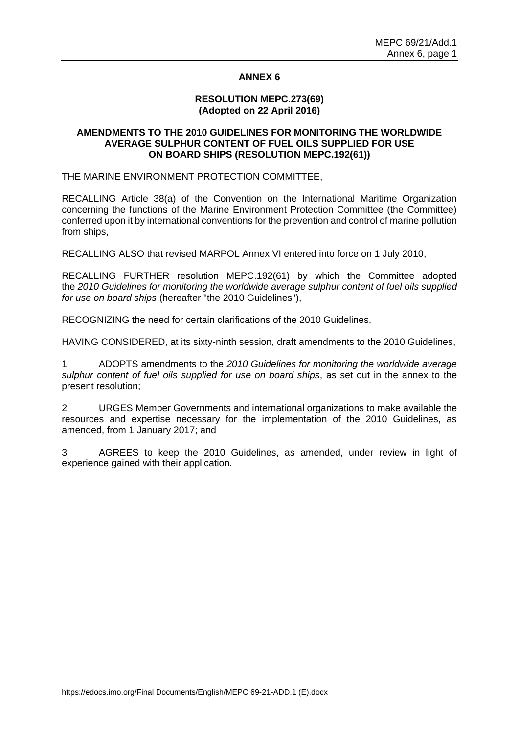## **ANNEX 6**

## **RESOLUTION MEPC.273(69) (Adopted on 22 April 2016)**

## **AMENDMENTS TO THE 2010 GUIDELINES FOR MONITORING THE WORLDWIDE AVERAGE SULPHUR CONTENT OF FUEL OILS SUPPLIED FOR USE ON BOARD SHIPS (RESOLUTION MEPC.192(61))**

THE MARINE ENVIRONMENT PROTECTION COMMITTEE,

RECALLING Article 38(a) of the Convention on the International Maritime Organization concerning the functions of the Marine Environment Protection Committee (the Committee) conferred upon it by international conventions for the prevention and control of marine pollution from ships,

RECALLING ALSO that revised MARPOL Annex VI entered into force on 1 July 2010,

RECALLING FURTHER resolution MEPC.192(61) by which the Committee adopted the *2010 Guidelines for monitoring the worldwide average sulphur content of fuel oils supplied for use on board ships* (hereafter "the 2010 Guidelines"),

RECOGNIZING the need for certain clarifications of the 2010 Guidelines,

HAVING CONSIDERED, at its sixty-ninth session, draft amendments to the 2010 Guidelines,

1 ADOPTS amendments to the *2010 Guidelines for monitoring the worldwide average sulphur content of fuel oils supplied for use on board ships*, as set out in the annex to the present resolution;

2 URGES Member Governments and international organizations to make available the resources and expertise necessary for the implementation of the 2010 Guidelines, as amended, from 1 January 2017; and

3 AGREES to keep the 2010 Guidelines, as amended, under review in light of experience gained with their application.